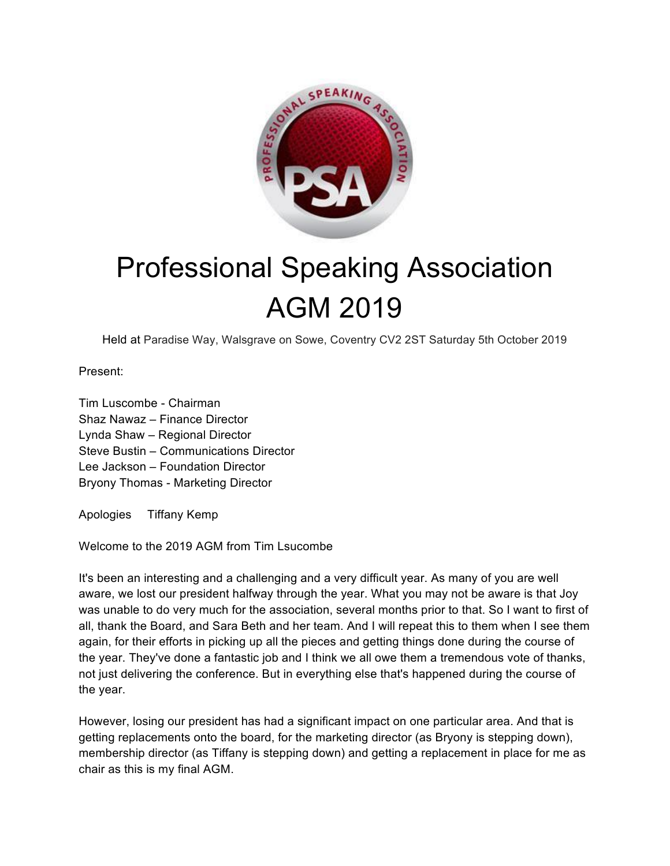

## Professional Speaking Association AGM 2019

Held at Paradise Way, Walsgrave on Sowe, Coventry CV2 2ST Saturday 5th October 2019

Present:

Tim Luscombe - Chairman Shaz Nawaz – Finance Director Lynda Shaw – Regional Director Steve Bustin – Communications Director Lee Jackson – Foundation Director Bryony Thomas - Marketing Director

Apologies Tiffany Kemp

Welcome to the 2019 AGM from Tim Lsucombe

It's been an interesting and a challenging and a very difficult year. As many of you are well aware, we lost our president halfway through the year. What you may not be aware is that Joy was unable to do very much for the association, several months prior to that. So I want to first of all, thank the Board, and Sara Beth and her team. And I will repeat this to them when I see them again, for their efforts in picking up all the pieces and getting things done during the course of the year. They've done a fantastic job and I think we all owe them a tremendous vote of thanks, not just delivering the conference. But in everything else that's happened during the course of the year.

However, losing our president has had a significant impact on one particular area. And that is getting replacements onto the board, for the marketing director (as Bryony is stepping down), membership director (as Tiffany is stepping down) and getting a replacement in place for me as chair as this is my final AGM.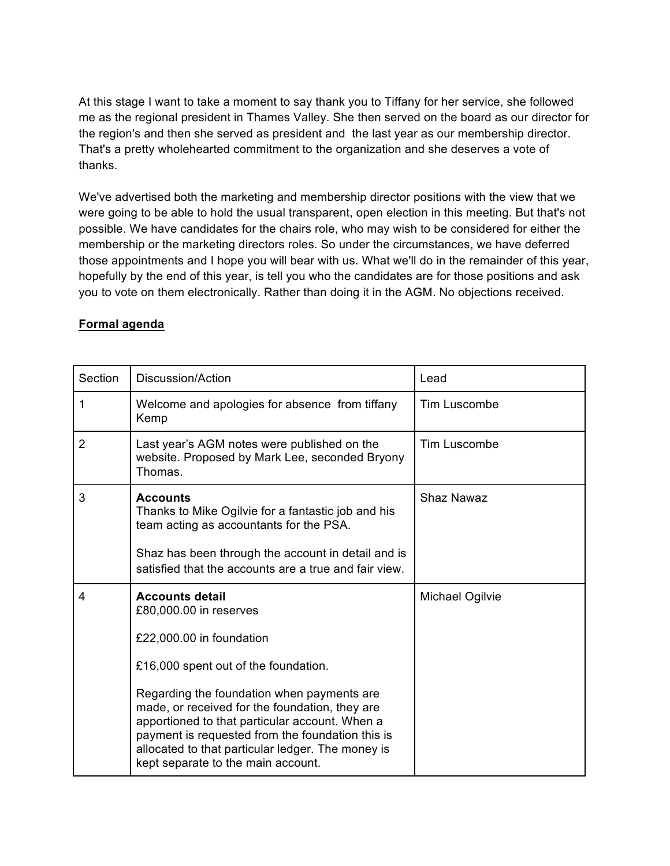At this stage I want to take a moment to say thank you to Tiffany for her service, she followed me as the regional president in Thames Valley. She then served on the board as our director for the region's and then she served as president and the last year as our membership director. That's a pretty wholehearted commitment to the organization and she deserves a vote of thanks.

We've advertised both the marketing and membership director positions with the view that we were going to be able to hold the usual transparent, open election in this meeting. But that's not possible. We have candidates for the chairs role, who may wish to be considered for either the membership or the marketing directors roles. So under the circumstances, we have deferred those appointments and I hope you will bear with us. What we'll do in the remainder of this year, hopefully by the end of this year, is tell you who the candidates are for those positions and ask you to vote on them electronically. Rather than doing it in the AGM. No objections received.

## **Formal agenda**

| Section        | Discussion/Action                                                                                                                                                                                                                                                                             | Lead                |
|----------------|-----------------------------------------------------------------------------------------------------------------------------------------------------------------------------------------------------------------------------------------------------------------------------------------------|---------------------|
| 1              | Welcome and apologies for absence from tiffany<br>Kemp                                                                                                                                                                                                                                        | <b>Tim Luscombe</b> |
| $\overline{2}$ | Last year's AGM notes were published on the<br>website. Proposed by Mark Lee, seconded Bryony<br>Thomas.                                                                                                                                                                                      | <b>Tim Luscombe</b> |
| 3              | <b>Accounts</b><br>Thanks to Mike Ogilvie for a fantastic job and his<br>team acting as accountants for the PSA.<br>Shaz has been through the account in detail and is                                                                                                                        | <b>Shaz Nawaz</b>   |
|                | satisfied that the accounts are a true and fair view.                                                                                                                                                                                                                                         |                     |
| 4              | <b>Accounts detail</b><br>£80,000.00 in reserves                                                                                                                                                                                                                                              | Michael Ogilvie     |
|                | £22,000.00 in foundation                                                                                                                                                                                                                                                                      |                     |
|                | £16,000 spent out of the foundation.                                                                                                                                                                                                                                                          |                     |
|                | Regarding the foundation when payments are<br>made, or received for the foundation, they are<br>apportioned to that particular account. When a<br>payment is requested from the foundation this is<br>allocated to that particular ledger. The money is<br>kept separate to the main account. |                     |